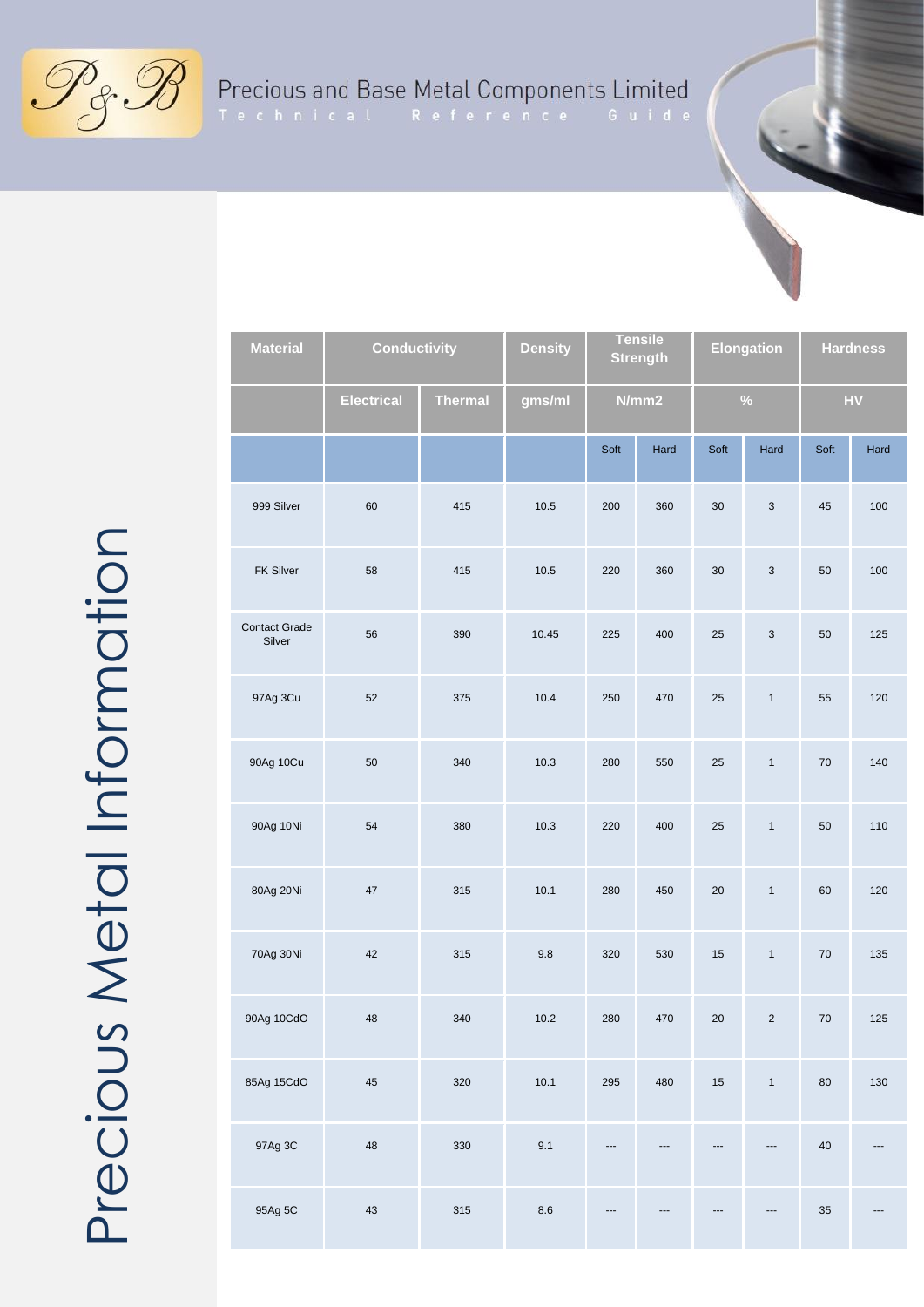$\mathscr{P}_{\mathscr{E}}\mathscr{B}$ 

## Precious and Base Metal Components Limited<br>Technical Reference Guide

| <b>Material</b>                | <b>Conductivity</b> |                | <b>Density</b> | <b>Tensile</b><br><b>Strength</b> |      | <b>Elongation</b> |                           | <b>Hardness</b> |      |
|--------------------------------|---------------------|----------------|----------------|-----------------------------------|------|-------------------|---------------------------|-----------------|------|
|                                | <b>Electrical</b>   | <b>Thermal</b> | gms/ml         | N/mm2                             |      | $\%$              |                           | ${\sf HV}$      |      |
|                                |                     |                |                | Soft                              | Hard | Soft              | Hard                      | Soft            | Hard |
| 999 Silver                     | 60                  | 415            | 10.5           | 200                               | 360  | 30                | $\ensuremath{\mathsf{3}}$ | 45              | 100  |
| FK Silver                      | 58                  | 415            | 10.5           | 220                               | 360  | $30\,$            | $\ensuremath{\mathsf{3}}$ | $50\,$          | 100  |
| <b>Contact Grade</b><br>Silver | 56                  | 390            | 10.45          | 225                               | 400  | 25                | $\ensuremath{\mathsf{3}}$ | 50              | 125  |
| 97Ag 3Cu                       | 52                  | 375            | 10.4           | 250                               | 470  | 25                | $\mathbf{1}$              | 55              | 120  |
| 90Ag 10Cu                      | 50                  | 340            | 10.3           | 280                               | 550  | $25\,$            | $\mathbf{1}$              | ${\bf 70}$      | 140  |
| 90Ag 10Ni                      | 54                  | 380            | 10.3           | 220                               | 400  | 25                | $\mathbf{1}$              | $50\,$          | 110  |
| 80Ag 20Ni                      | 47                  | 315            | 10.1           | 280                               | 450  | 20                | $\mathbf{1}$              | 60              | 120  |
| 70Ag 30Ni                      | 42                  | 315            | 9.8            | 320                               | 530  | 15                | $\mathbf{1}$              | ${\bf 70}$      | 135  |
| 90Ag 10CdO                     | 48                  | 340            | 10.2           | 280                               | 470  | 20                | $\sqrt{2}$                | $70\,$          | 125  |
| 85Ag 15CdO                     | 45                  | 320            | 10.1           | 295                               | 480  | 15                | $\mathbf{1}$              | 80              | 130  |
| 97Ag 3C                        | 48                  | 330            | 9.1            |                                   |      |                   |                           | $40\,$          |      |
| 95Ag 5C                        | 43                  | 315            | 8.6            |                                   |      |                   |                           | $35\,$          |      |

Precious Metal Information Precious Metal Information